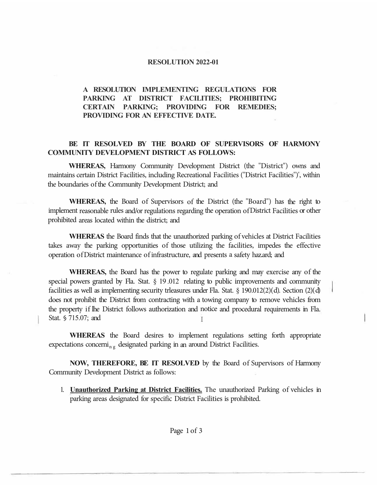## **RESOLUTION 2022-01**

## **A RESOLUTION IMPLEMENTING REGULATIONS FOR PARKING AT DISTRICT FACILITIES; PROHIBITING CERTAIN PARKING; PROVIDING FOR REMEDIES; PROVIDING FOR AN EFFECTIVE DATE.**

## **BE IT RESOLVED BY THE BOARD OF SUPERVISORS OF HARMONY COMMUNITY DEVELOPMENT DISTRICT AS FOLLOWS:**

**WHEREAS,** Harmony Community Development District (the "District") owns and maintains certain District Facilities, including Recreational Facilities ("District Facilities")', within the boundaries of the Community Development District; and

**WHEREAS,** the Board of Supervisors of the District (the "Board") has the right to implement reasonable rules and/or regulations regarding the operation of District Facilities or other prohibited areas located within the district; and

**WHEREAS** the Board finds that the unauthorized parking of vehicles at District Facilities takes away the parking opportunities of those utilizing the facilities, impedes the effective operation of District maintenance of infrastructure, and presents a safety haz.ard; and

**WHEREAS,** the Board has the power to regulate parking and may exercise any of the special powers granted by Fla. Stat. § 19.012 relating to public improvements and community facilities as well as implementing security trleasures under Fla. Stat. § 190.012(2)( d). Section (2)( d) does not prohibit the District from contracting with a towing company to remove vehicles from the property if lhe District follows authorization and notice and procedural requirements in Fla. Stat. § 715.07; and

**WHEREAS** the Board desires to implement regulations setting forth appropriate expectations concerni<sub>ng</sub> designated parking in an around District Facilities.

**NOW, THEREFORE, BE IT RESOLVED** by the Board of Supervisors of Harmony Community Development District as follows:

1. **Unauthorized Parking at District Facilities.** The unauthorized Parking of vehicles in parking areas designated for specific District Facilities is prohibited.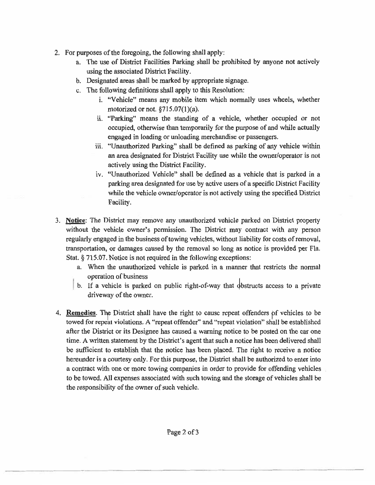- 2. For purposes of the foregoing, the following shall apply:
	- a. The use of District Facilities Parking shall be prohibited by anyone not actively using the associated District Facility.
	- b. Designated areas shall be marked by appropriate signage.
	- c. The following definitions shall apply to this Resolution:
		- 1. "Vehicle" means any mobile item which normally uses wheels, whether motorized or not. §715.07(1)(a).
		- ii. "Parking" means the standing of a vehicle, whether occupied or not occupied, otherwise than temporarily for the purpose of and while actually engaged in loading or unloading merchandise or passengers.
		- iii. "Unauthorized Parking" shall be defined as parking of any vehicle within an area designated for District Facility use while the owner/operator is not actively using the District Facility.
		- iv. "Unauthorized Vehicle" shall be defined as a vehicle that is parked in a parking area designated for use by active users of a specific District Facility while the vehicle owner/operator is not actively using the specified District Facility.
- 3. **Notice:** The District may remove any unauthorized vehicle parked on District property without the vehicle owner's permission. The District may contract with any person regularly engaged in the business of towing vehicles, without liability for costs of removal, transportation, or damages caused by the removal so long as notice is provided per Fla. Stat.§ 715.07. Notice is not required in the following exceptions:
	- a. When the unauthorized vehicle is parked in a manner that restricts the normal
	- operation of business<br>b. If a vehicle is parked on public right-of-way that  $\phi$ bstructs access to a private driveway of the owner.
- 4. **Remedies**. The District shall have the right to cause repeat offenders pf vehicles to be towed for repeat violations. A "repeat offender" and "repeat violation" shall be established after the District or its Designee has caused a warning notice to be posted on the car one time. A written statement by the District's agent that such a notice has been delivered shall be sufficient to establish that the notice has been placed. The right to receive a notice hereunder is a courtesy only. For this purpose, the District shall be authorized to enter into a contract with one or more towing companies in order to provide for offending vehicles to be towed. All expenses associated with such towing and the storage of vehicles shall be the responsibility of the owner of such vehicle.